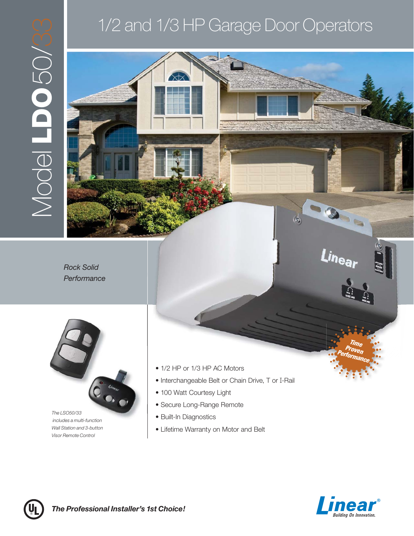



 *includes a multi-function Wall Station and 3-button Visor Remote Control*

- 1/2 HP or 1/3 HP AC Motors
- Interchangeable Belt or Chain Drive, T or I-Rail
- 100 Watt Courtesy Light
- Secure Long-Range Remote
- Built-In Diagnostics
- Lifetime Warranty on Motor and Belt



*Time Proven Performance*